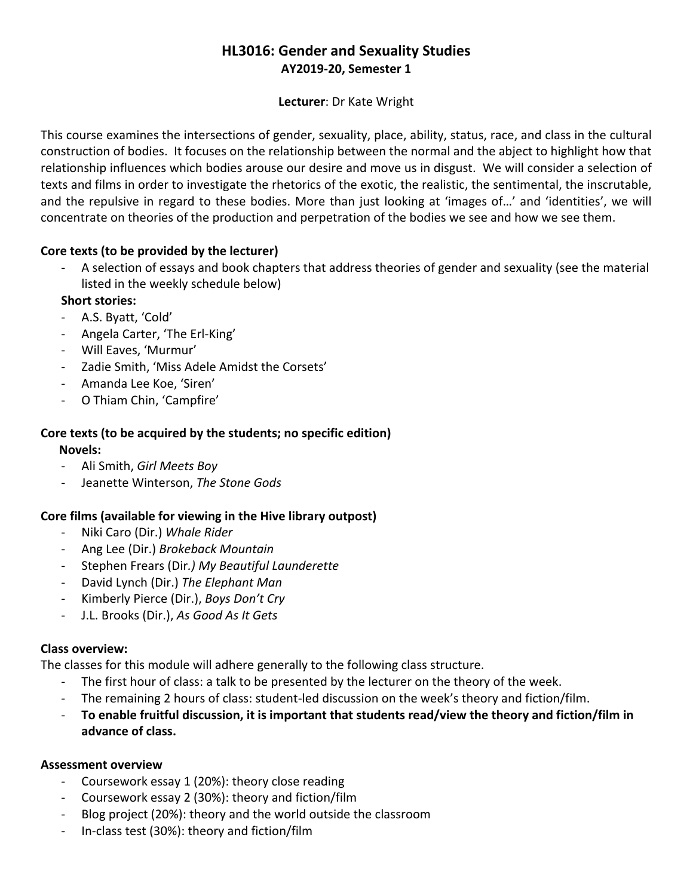# **HL3016: Gender and Sexuality Studies AY2019-20, Semester 1**

### **Lecturer**: Dr Kate Wright

This course examines the intersections of gender, sexuality, place, ability, status, race, and class in the cultural construction of bodies. It focuses on the relationship between the normal and the abject to highlight how that relationship influences which bodies arouse our desire and move us in disgust. We will consider a selection of texts and films in order to investigate the rhetorics of the exotic, the realistic, the sentimental, the inscrutable, and the repulsive in regard to these bodies. More than just looking at 'images of…' and 'identities', we will concentrate on theories of the production and perpetration of the bodies we see and how we see them.

## **Core texts (to be provided by the lecturer)**

- A selection of essays and book chapters that address theories of gender and sexuality (see the material listed in the weekly schedule below)

## **Short stories:**

- A.S. Byatt, 'Cold'
- Angela Carter, 'The Erl-King'
- Will Eaves, 'Murmur'
- Zadie Smith, 'Miss Adele Amidst the Corsets'
- Amanda Lee Koe, 'Siren'
- O Thiam Chin, 'Campfire'

# **Core texts (to be acquired by the students; no specific edition)**

 **Novels:**

- Ali Smith, *Girl Meets Boy*
- Jeanette Winterson, *The Stone Gods*

## **Core films (available for viewing in the Hive library outpost)**

- Niki Caro (Dir.) *Whale Rider*
- Ang Lee (Dir.) *Brokeback Mountain*
- Stephen Frears (Dir*.) My Beautiful Launderette*
- David Lynch (Dir.) *The Elephant Man*
- Kimberly Pierce (Dir.), *Boys Don't Cry*
- J.L. Brooks (Dir.), *As Good As It Gets*

### **Class overview:**

The classes for this module will adhere generally to the following class structure.

- The first hour of class: a talk to be presented by the lecturer on the theory of the week.
- The remaining 2 hours of class: student-led discussion on the week's theory and fiction/film.
- **To enable fruitful discussion, it is important that students read/view the theory and fiction/film in advance of class.**

### **Assessment overview**

- Coursework essay 1 (20%): theory close reading
- Coursework essay 2 (30%): theory and fiction/film
- Blog project (20%): theory and the world outside the classroom
- In-class test (30%): theory and fiction/film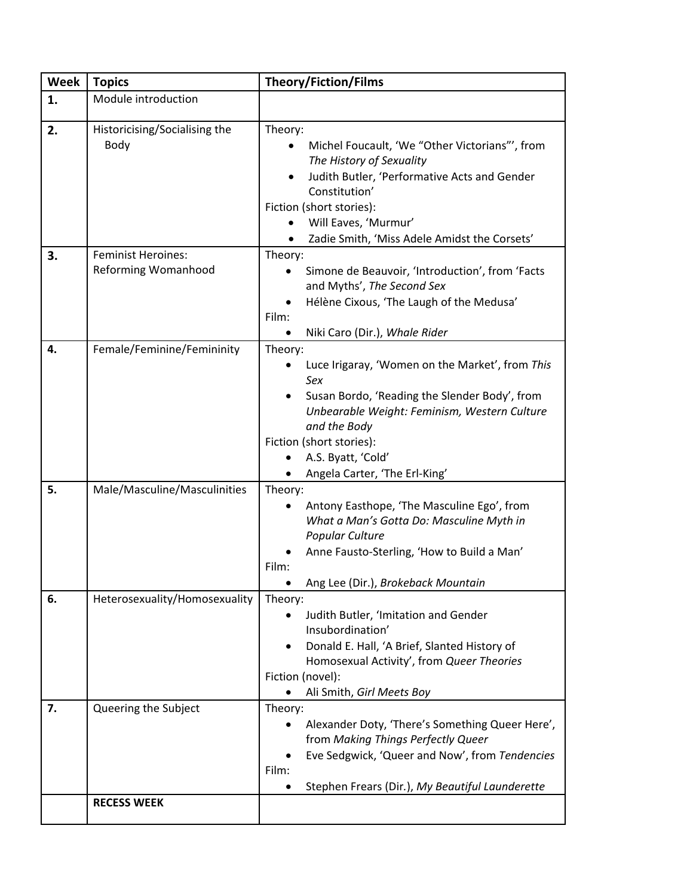| <b>Week</b> | <b>Topics</b>                                           | <b>Theory/Fiction/Films</b>                                                                                                                                                                                                                                           |
|-------------|---------------------------------------------------------|-----------------------------------------------------------------------------------------------------------------------------------------------------------------------------------------------------------------------------------------------------------------------|
| 1.          | Module introduction                                     |                                                                                                                                                                                                                                                                       |
| 2.          | Historicising/Socialising the<br>Body                   | Theory:<br>Michel Foucault, 'We "Other Victorians"', from<br>The History of Sexuality<br>Judith Butler, 'Performative Acts and Gender<br>Constitution'<br>Fiction (short stories):<br>Will Eaves, 'Murmur'<br>Zadie Smith, 'Miss Adele Amidst the Corsets'            |
| 3.          | <b>Feminist Heroines:</b><br><b>Reforming Womanhood</b> | Theory:<br>Simone de Beauvoir, 'Introduction', from 'Facts<br>and Myths', The Second Sex<br>Hélène Cixous, 'The Laugh of the Medusa'<br>Film:<br>Niki Caro (Dir.), Whale Rider<br>$\bullet$                                                                           |
| 4.          | Female/Feminine/Femininity                              | Theory:<br>Luce Irigaray, 'Women on the Market', from This<br>Sex<br>Susan Bordo, 'Reading the Slender Body', from<br>Unbearable Weight: Feminism, Western Culture<br>and the Body<br>Fiction (short stories):<br>A.S. Byatt, 'Cold'<br>Angela Carter, 'The Erl-King' |
| 5.          | Male/Masculine/Masculinities                            | Theory:<br>Antony Easthope, 'The Masculine Ego', from<br>What a Man's Gotta Do: Masculine Myth in<br>Popular Culture<br>Anne Fausto-Sterling, 'How to Build a Man'<br>Film:<br>Ang Lee (Dir.), Brokeback Mountain                                                     |
| 6.          | Heterosexuality/Homosexuality                           | Theory:<br>Judith Butler, 'Imitation and Gender<br>Insubordination'<br>Donald E. Hall, 'A Brief, Slanted History of<br>Homosexual Activity', from Queer Theories<br>Fiction (novel):<br>Ali Smith, Girl Meets Boy                                                     |
| 7.          | Queering the Subject<br><b>RECESS WEEK</b>              | Theory:<br>Alexander Doty, 'There's Something Queer Here',<br>from Making Things Perfectly Queer<br>Eve Sedgwick, 'Queer and Now', from Tendencies<br>Film:<br>Stephen Frears (Dir.), My Beautiful Launderette                                                        |